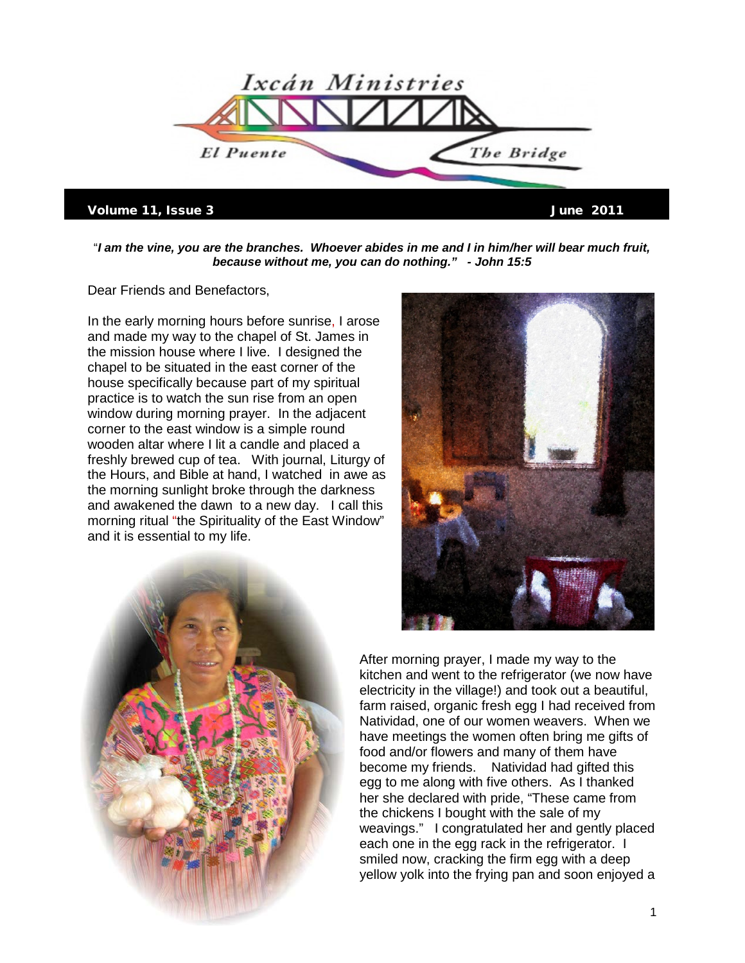

## Volume 11, Issue 3 June 2011

"*I am the vine, you are the branches. Whoever abides in me and I in him/her will bear much fruit, because without me, you can do nothing." - John 15:5* 

Dear Friends and Benefactors,

In the early morning hours before sunrise, I arose and made my way to the chapel of St. James in the mission house where I live. I designed the chapel to be situated in the east corner of the house specifically because part of my spiritual practice is to watch the sun rise from an open window during morning prayer. In the adjacent corner to the east window is a simple round wooden altar where I lit a candle and placed a freshly brewed cup of tea. With journal, Liturgy of the Hours, and Bible at hand, I watched in awe as the morning sunlight broke through the darkness and awakened the dawn to a new day. I call this morning ritual "the Spirituality of the East Window" and it is essential to my life.



After morning prayer, I made my way to the kitchen and went to the refrigerator (we now have electricity in the village!) and took out a beautiful, farm raised, organic fresh egg I had received from Natividad, one of our women weavers. When we have meetings the women often bring me gifts of food and/or flowers and many of them have become my friends. Natividad had gifted this egg to me along with five others. As I thanked her she declared with pride, "These came from the chickens I bought with the sale of my weavings." I congratulated her and gently placed each one in the egg rack in the refrigerator. I smiled now, cracking the firm egg with a deep yellow yolk into the frying pan and soon enjoyed a